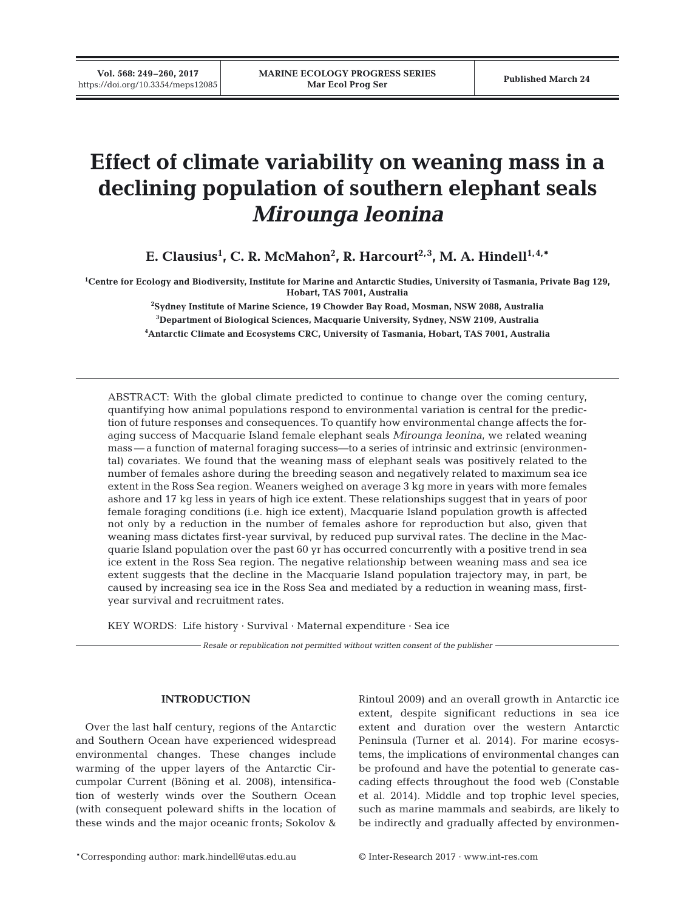**Vol. 568: 249–260, 2017**

# **Effect of climate variability on weaning mass in a declining population of southern elephant seals** *Mirounga leonina*

**E. Clausius1 , C. R. McMahon2 , R. Harcourt2,3, M. A. Hindell1,4,\***

**1 Centre for Ecology and Biodiversity, Institute for Marine and Antarctic Studies, University of Tasmania, Private Bag 129, Hobart, TAS 7001, Australia**

> **2 Sydney Institute of Marine Science, 19 Chowder Bay Road, Mosman, NSW 2088, Australia 3 Department of Biological Sciences, Macquarie University, Sydney, NSW 2109, Australia 4 Antarctic Climate and Ecosystems CRC, University of Tasmania, Hobart, TAS 7001, Australia**

ABSTRACT: With the global climate predicted to continue to change over the coming century, quantifying how animal populations respond to environmental variation is central for the prediction of future responses and consequences. To quantify how environmental change affects the foraging success of Macquarie Island female elephant seals *Mirounga leonina*, we related weaning mass — a function of maternal foraging success—to a series of intrinsic and extrinsic (environmental) covariates. We found that the weaning mass of elephant seals was positively related to the number of females ashore during the breeding season and negatively related to maximum sea ice extent in the Ross Sea region. Weaners weighed on average 3 kg more in years with more females ashore and 17 kg less in years of high ice extent. These relationships suggest that in years of poor female foraging conditions (i.e. high ice extent), Macquarie Island population growth is affected not only by a reduction in the number of females ashore for reproduction but also, given that weaning mass dictates first-year survival, by reduced pup survival rates. The decline in the Macquarie Island population over the past 60 yr has occurred concurrently with a positive trend in sea ice extent in the Ross Sea region. The negative relationship between weaning mass and sea ice extent suggests that the decline in the Macquarie Island population trajectory may, in part, be caused by increasing sea ice in the Ross Sea and mediated by a reduction in weaning mass, firstyear survival and recruitment rates.

KEY WORDS: Life history · Survival · Maternal expenditure · Sea ice

*Resale or republication not permitted without written consent of the publisher*

# **INTRODUCTION**

Over the last half century, regions of the Antarctic and Southern Ocean have experienced widespread environmental changes. These changes include warming of the upper layers of the Antarctic Circumpolar Current (Böning et al. 2008), intensification of westerly winds over the Southern Ocean (with consequent poleward shifts in the location of these winds and the major oceanic fronts; Sokolov & Rintoul 2009) and an overall growth in Antarctic ice extent, despite significant reductions in sea ice extent and duration over the western Antarctic Peninsula (Turner et al. 2014). For marine ecosystems, the implications of environmental changes can be profound and have the potential to generate cascading effects throughout the food web (Constable et al. 2014). Middle and top trophic level species, such as marine mammals and seabirds, are likely to be indirectly and gradually affected by environmen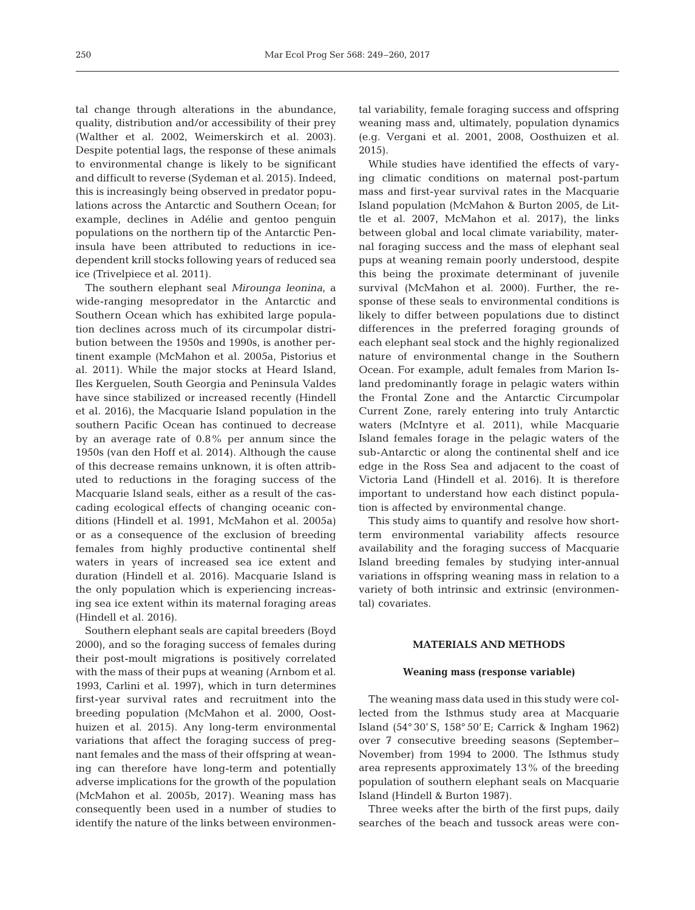tal change through alterations in the abundance, quality, distribution and/or accessibility of their prey (Walther et al. 2002, Weimerskirch et al. 2003). Despite potential lags, the response of these animals to environmental change is likely to be significant and difficult to reverse (Sydeman et al. 2015). Indeed, this is increasingly being observed in predator populations across the Antarctic and Southern Ocean; for example, declines in Adélie and gentoo penguin populations on the northern tip of the Antarctic Peninsula have been attributed to reductions in icedependent krill stocks following years of reduced sea ice (Trivelpiece et al. 2011).

The southern elephant seal *Mirounga leonina*, a wide-ranging mesopredator in the Antarctic and Southern Ocean which has exhibited large population declines across much of its circumpolar distribution between the 1950s and 1990s, is another pertinent example (McMahon et al. 2005a, Pistorius et al. 2011). While the major stocks at Heard Island, Iles Kerquelen, South Georgia and Peninsula Valdes have since stabilized or increased recently (Hindell et al. 2016), the Macquarie Island population in the southern Pacific Ocean has continued to decrease by an average rate of 0.8% per annum since the 1950s (van den Hoff et al. 2014). Although the cause of this decrease remains unknown, it is often attributed to reductions in the foraging success of the Macquarie Island seals, either as a result of the cascading ecological effects of changing oceanic conditions (Hindell et al. 1991, McMahon et al. 2005a) or as a consequence of the exclusion of breeding females from highly productive continental shelf waters in years of increased sea ice extent and duration (Hindell et al. 2016). Macquarie Island is the only population which is experiencing increasing sea ice extent within its maternal foraging areas (Hindell et al. 2016).

Southern elephant seals are capital breeders (Boyd 2000), and so the foraging success of females during their post-moult migrations is positively correlated with the mass of their pups at weaning (Arnbom et al. 1993, Carlini et al. 1997), which in turn determines first-year survival rates and recruitment into the breeding population (McMahon et al. 2000, Oosthuizen et al. 2015). Any long-term environmental variations that affect the foraging success of pregnant females and the mass of their offspring at weaning can therefore have long-term and potentially adverse implications for the growth of the population (McMahon et al. 2005b, 2017). Weaning mass has consequently been used in a number of studies to identify the nature of the links between environmental variability, female foraging success and offspring weaning mass and, ultimately, population dynamics (e.g. Vergani et al. 2001, 2008, Oosthuizen et al. 2015).

While studies have identified the effects of varying climatic conditions on maternal post-partum mass and first-year survival rates in the Macquarie Island population (McMahon & Burton 2005, de Little et al. 2007, McMahon et al. 2017), the links between global and local climate variability, maternal foraging success and the mass of elephant seal pups at weaning remain poorly understood, despite this being the proximate determinant of juvenile survival (McMahon et al. 2000). Further, the response of these seals to environmental conditions is likely to differ between populations due to distinct differences in the preferred foraging grounds of each elephant seal stock and the highly regionalized nature of environmental change in the Southern Ocean. For example, adult females from Marion Is land predominantly forage in pelagic waters within the Frontal Zone and the Antarctic Circumpolar Current Zone, rarely entering into truly Antarctic waters (McIntyre et al. 2011), while Macquarie Island females forage in the pelagic waters of the sub-Antarctic or along the continental shelf and ice edge in the Ross Sea and adjacent to the coast of Victoria Land (Hindell et al. 2016). It is therefore important to understand how each distinct population is affected by environmental change.

This study aims to quantify and resolve how shortterm environmental variability affects resource availability and the foraging success of Macquarie Island breeding females by studying inter-annual variations in offspring weaning mass in relation to a variety of both intrinsic and extrinsic (environmental) covariates.

# **MATERIALS AND METHODS**

# **Weaning mass (response variable)**

The weaning mass data used in this study were collected from the Isthmus study area at Macquarie Island (54° 30' S, 158° 50' E; Carrick & Ingham 1962) over 7 consecutive breeding seasons (September− November) from 1994 to 2000. The Isthmus study area represents approximately 13% of the breeding population of southern elephant seals on Macquarie Island (Hindell & Burton 1987).

Three weeks after the birth of the first pups, daily searches of the beach and tussock areas were con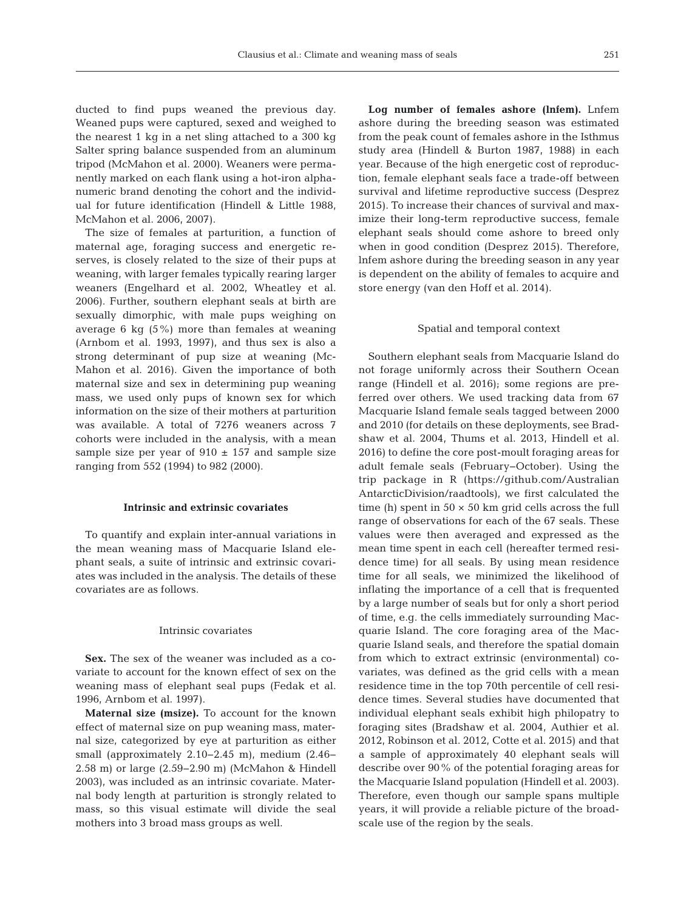ducted to find pups weaned the previous day. Weaned pups were captured, sexed and weighed to the nearest 1 kg in a net sling attached to a 300 kg Salter spring balance suspended from an aluminum tripod (McMahon et al. 2000). Weaners were permanently marked on each flank using a hot-iron alphanumeric brand denoting the cohort and the individual for future identification (Hindell & Little 1988, McMahon et al. 2006, 2007).

The size of females at parturition, a function of maternal age, foraging success and energetic reserves, is closely related to the size of their pups at weaning, with larger females typically rearing larger weaners (Engelhard et al. 2002, Wheatley et al. 2006). Further, southern elephant seals at birth are sexually dimorphic, with male pups weighing on average 6 kg (5%) more than females at weaning (Arnbom et al. 1993, 1997), and thus sex is also a strong determinant of pup size at weaning (Mc - Mahon et al. 2016). Given the importance of both maternal size and sex in determining pup weaning mass, we used only pups of known sex for which information on the size of their mothers at parturition was available. A total of 7276 weaners across 7 cohorts were included in the analysis, with a mean sample size per year of  $910 \pm 157$  and sample size ranging from 552 (1994) to 982 (2000).

#### **Intrinsic and extrinsic covariates**

To quantify and explain inter-annual variations in the mean weaning mass of Macquarie Island elephant seals, a suite of intrinsic and extrinsic covariates was included in the analysis. The details of these covariates are as follows.

#### Intrinsic covariates

Sex. The sex of the weaner was included as a covariate to account for the known effect of sex on the weaning mass of elephant seal pups (Fedak et al. 1996, Arnbom et al. 1997).

**Maternal size (msize).** To account for the known effect of maternal size on pup weaning mass, maternal size, categorized by eye at parturition as either small (approximately 2.10−2.45 m), medium (2.46− 2.58 m) or large (2.59−2.90 m) (McMahon & Hindell 2003), was included as an intrinsic covariate. Maternal body length at parturition is strongly related to mass, so this visual estimate will divide the seal mothers into 3 broad mass groups as well.

**Log number of females ashore (lnfem).** Lnfem ashore during the breeding season was estimated from the peak count of females ashore in the Isthmus study area (Hindell & Burton 1987, 1988) in each year. Because of the high energetic cost of reproduction, female elephant seals face a trade-off between survival and lifetime reproductive success (Desprez 2015). To increase their chances of survival and maximize their long-term reproductive success, female elephant seals should come ashore to breed only when in good condition (Desprez 2015). Therefore, lnfem ashore during the breeding season in any year is dependent on the ability of females to acquire and store energy (van den Hoff et al. 2014).

#### Spatial and temporal context

Southern elephant seals from Macquarie Island do not forage uniformly across their Southern Ocean range (Hindell et al. 2016); some regions are preferred over others. We used tracking data from 67 Macquarie Island female seals tagged between 2000 and 2010 (for details on these deployments, see Bradshaw et al. 2004, Thums et al. 2013, Hindell et al. 2016) to define the core post-moult foraging areas for adult female seals (February−October). Using the trip package in R (https:// github. com/ Australian Antarctic Division/ raadtools), we first calculated the time (h) spent in  $50 \times 50$  km grid cells across the full range of observations for each of the 67 seals. These values were then averaged and expressed as the mean time spent in each cell (hereafter termed residence time) for all seals. By using mean residence time for all seals, we minimized the likelihood of inflating the importance of a cell that is frequented by a large number of seals but for only a short period of time, e.g. the cells immediately surrounding Macquarie Island. The core foraging area of the Macquarie Island seals, and therefore the spatial domain from which to extract extrinsic (environmental) co variates, was defined as the grid cells with a mean residence time in the top 70th percentile of cell residence times. Several studies have documented that individual elephant seals exhibit high philopatry to foraging sites (Bradshaw et al. 2004, Authier et al. 2012, Robinson et al. 2012, Cotte et al. 2015) and that a sample of approximately 40 elephant seals will describe over 90% of the potential foraging areas for the Macquarie Island population (Hindell et al. 2003). Therefore, even though our sample spans multiple years, it will provide a reliable picture of the broadscale use of the region by the seals.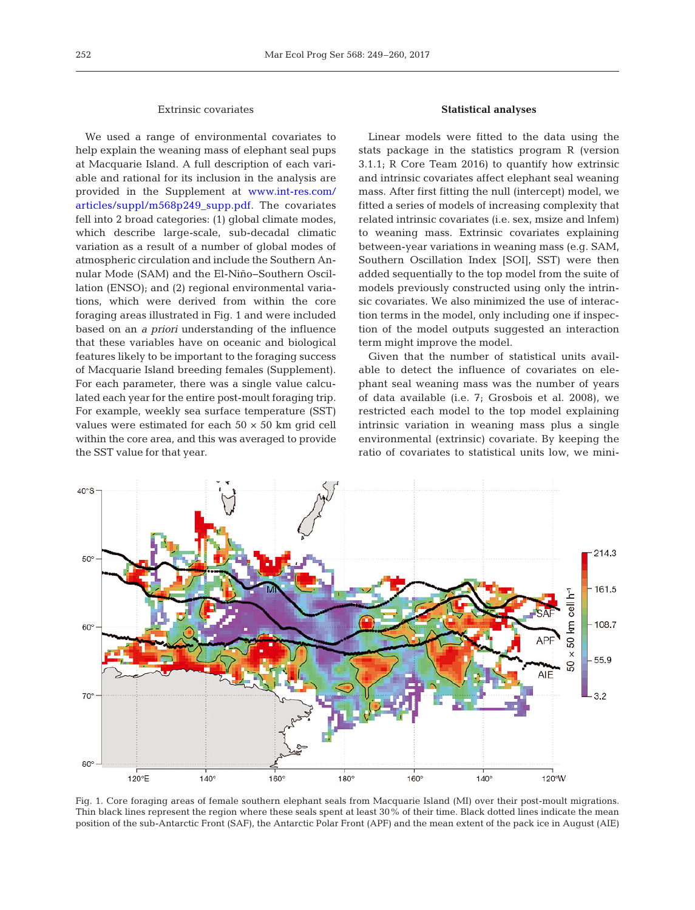## Extrinsic covariates

We used a range of environmental covariates to help explain the weaning mass of elephant seal pups at Macquarie Island. A full description of each variable and rational for its inclusion in the analysis are provided in the Supplement at [www. int-res. com/](http://www.int-res.com/articles/suppl/m568p249_supp.pdf) articles/suppl/m568p249\_supp.pdf. The covariates fell into 2 broad categories: (1) global climate modes, which describe large-scale, sub-decadal climatic variation as a result of a number of global modes of atmospheric circulation and include the Southern Annular Mode (SAM) and the El-Niño− Southern Oscillation (ENSO); and (2) regional environmental variations, which were derived from within the core foraging areas illustrated in Fig. 1 and were included based on an *a priori* understanding of the influence that these variables have on oceanic and biological features likely to be important to the foraging success of Macquarie Island breeding females (Supplement). For each parameter, there was a single value calculated each year for the entire post-moult foraging trip. For example, weekly sea surface temperature (SST) values were estimated for each  $50 \times 50$  km grid cell within the core area, and this was averaged to provide the SST value for that year.

## **Statistical analyses**

Linear models were fitted to the data using the stats package in the statistics program R (version 3.1.1; R Core Team 2016) to quantify how extrinsic and intrinsic covariates affect elephant seal weaning mass. After first fitting the null (intercept) model, we fitted a series of models of increasing complexity that related intrinsic covariates (i.e. sex, msize and lnfem) to weaning mass. Extrinsic covariates explaining between-year variations in weaning mass (e.g. SAM, Southern Oscillation Index [SOI], SST) were then added sequentially to the top model from the suite of models previously constructed using only the intrinsic covariates. We also minimized the use of interaction terms in the model, only including one if inspection of the model outputs suggested an interaction term might improve the model.

Given that the number of statistical units available to detect the influence of covariates on elephant seal weaning mass was the number of years of data available (i.e. 7; Grosbois et al. 2008), we restricted each model to the top model explaining intrinsic variation in weaning mass plus a single environmental (extrinsic) covariate. By keeping the ratio of covariates to statistical units low, we mini-



Fig. 1. Core foraging areas of female southern elephant seals from Macquarie Island (MI) over their post-moult migrations. Thin black lines represent the region where these seals spent at least 30% of their time. Black dotted lines indicate the mean position of the sub-Antarctic Front (SAF), the Antarctic Polar Front (APF) and the mean extent of the pack ice in August (AIE)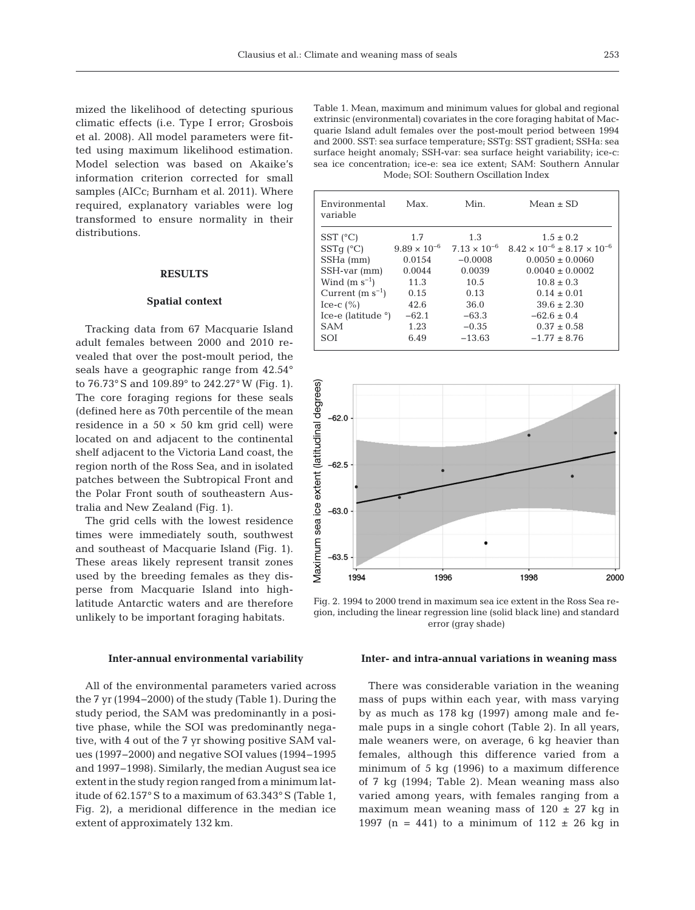mized the likelihood of detecting spurious climatic effects (i.e. Type I error; Grosbois et al. 2008). All model parameters were fitted using maximum likelihood estimation. Model selection was based on Akaike's information criterion corrected for small samples (AICc; Burnham et al. 2011). Where required, explanatory variables were log transformed to ensure normality in their distributions.

## **RESULTS**

## **Spatial context**

Tracking data from 67 Macquarie Island adult females between 2000 and 2010 re vealed that over the post-moult period, the seals have a geographic range from 42.54° to 76.73° S and 109.89° to 242.27° W (Fig. 1). The core foraging regions for these seals (defined here as 70th percentile of the mean residence in a  $50 \times 50$  km grid cell) were located on and adjacent to the continental shelf adjacent to the Victoria Land coast, the region north of the Ross Sea, and in isolated patches between the Subtropical Front and the Polar Front south of southeastern Australia and New Zealand (Fig. 1).

The grid cells with the lowest residence times were immediately south, southwest and southeast of Macquarie Island (Fig. 1). These areas likely represent transit zones used by the breeding females as they disperse from Macquarie Island into highlatitude Antarctic waters and are therefore unlikely to be important foraging habitats.

## **Inter-annual environmental variability**

All of the environmental parameters varied across the 7 yr (1994−2000) of the study (Table 1). During the study period, the SAM was predominantly in a positive phase, while the SOI was predominantly negative, with 4 out of the 7 yr showing positive SAM values (1997−2000) and negative SOI values (1994− 1995 and 1997−1998). Similarly, the median August sea ice extent in the study region ranged from a minimum latitude of 62.157° S to a maximum of 63.343° S (Table 1, Fig. 2), a meridional difference in the median ice extent of approximately 132 km.

Table 1. Mean, maximum and minimum values for global and regional extrinsic (environmental) covariates in the core foraging habitat of Macquarie Island adult females over the post-moult period between 1994 and 2000. SST: sea surface temperature; SSTg: SST gradient; SSHa: sea surface height anomaly; SSH-var: sea surface height variability; ice-c: sea ice concentration; ice-e: sea ice extent; SAM: Southern Annular Mode; SOI: Southern Oscillation Index

| Environmental<br>variable   | Max.                  | Min.                  | Mean $\pm$ SD                               |
|-----------------------------|-----------------------|-----------------------|---------------------------------------------|
| $SST$ ( $^{\circ}C$ )       | 1.7                   | 1.3                   | $1.5 \pm 0.2$                               |
| $SSTq$ ( $°C$ )             | $9.89 \times 10^{-6}$ | $7.13 \times 10^{-6}$ | $8.42 \times 10^{-6} + 8.17 \times 10^{-6}$ |
| SSHa (mm)                   | 0.0154                | $-0.0008$             | $0.0050 \pm 0.0060$                         |
| SSH-var (mm)                | 0.0044                | 0.0039                | $0.0040 \pm 0.0002$                         |
| Wind $(m s^{-1})$           | 11.3                  | 10.5                  | $10.8 + 0.3$                                |
| Current $(m s^{-1})$        | 0.15                  | 0.13                  | $0.14 \pm 0.01$                             |
| Ice-c $(\% )$               | 42.6                  | 36.0                  | $39.6 \pm 2.30$                             |
| Ice-e (latitude $\degree$ ) | $-62.1$               | $-63.3$               | $-62.6 \pm 0.4$                             |
| <b>SAM</b>                  | 1.23                  | $-0.35$               | $0.37 \pm 0.58$                             |
| SOI                         | 6.49                  | $-13.63$              | $-1.77 \pm 8.76$                            |



Fig. 2. 1994 to 2000 trend in maximum sea ice extent in the Ross Sea region, including the linear regression line (solid black line) and standard error (gray shade)

# **Inter- and intra-annual variations in weaning mass**

There was considerable variation in the weaning mass of pups within each year, with mass varying by as much as 178 kg (1997) among male and female pups in a single cohort (Table 2). In all years, male weaners were, on average, 6 kg heavier than fe males, although this difference varied from a minimum of 5 kg (1996) to a maximum difference of 7 kg (1994; Table 2). Mean weaning mass also varied among years, with females ranging from a maximum mean weaning mass of  $120 \pm 27$  kg in 1997 (n = 441) to a minimum of  $112 \pm 26$  kg in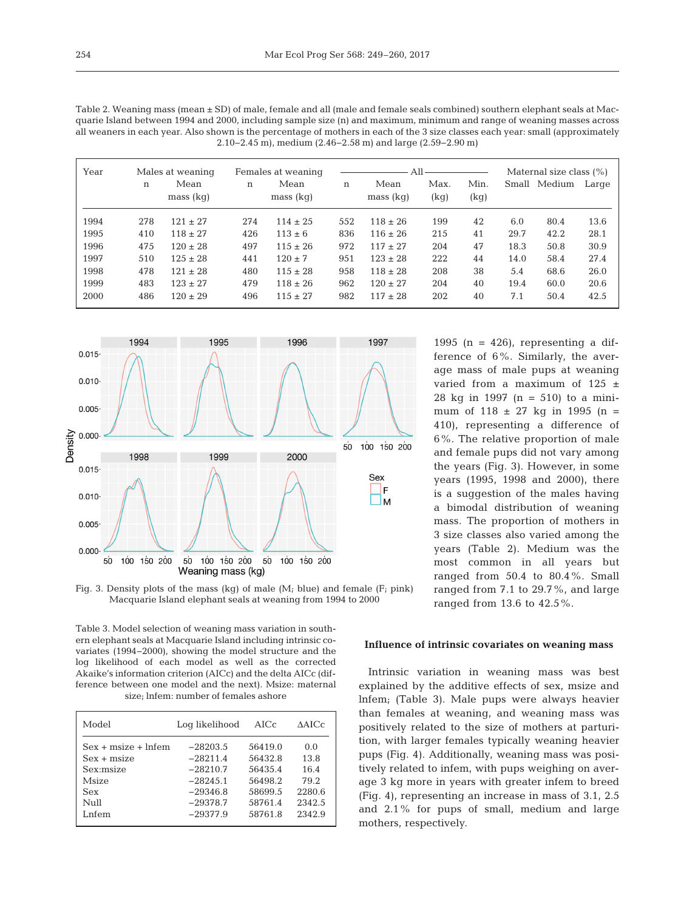| Table 2. Weaning mass (mean $\pm$ SD) of male, female and all (male and female seals combined) southern elephant seals at Mac-  |
|---------------------------------------------------------------------------------------------------------------------------------|
| quarie Island between 1994 and 2000, including sample size (n) and maximum, minimum and range of weaning masses across          |
| all weaners in each year. Also shown is the percentage of mothers in each of the 3 size classes each year: small (approximately |
| $2.10-2.45$ m), medium $(2.46-2.58$ m) and large $(2.59-2.90$ m)                                                                |

| Year | Males at weaning<br>Females at weaning |                   | All |                   |             | Maternal size class (%) |              |              |       |        |       |
|------|----------------------------------------|-------------------|-----|-------------------|-------------|-------------------------|--------------|--------------|-------|--------|-------|
|      | $\mathbf n$                            | Mean<br>mass (kq) | n   | Mean<br>mass (kq) | $\mathbf n$ | Mean<br>mass (kq)       | Max.<br>(kg) | Min.<br>(kg) | Small | Medium | Large |
| 1994 | 278                                    | $121 \pm 27$      | 274 | $114 \pm 25$      | 552         | $118 \pm 26$            | 199          | 42           | 6.0   | 80.4   | 13.6  |
| 1995 | 410                                    | $118 \pm 27$      | 426 | $113 \pm 6$       | 836         | $116 \pm 26$            | 215          | 41           | 29.7  | 42.2   | 28.1  |
| 1996 | 475                                    | $120 \pm 28$      | 497 | $115 \pm 26$      | 972         | $117 \pm 27$            | 204          | 47           | 18.3  | 50.8   | 30.9  |
| 1997 | 510                                    | $125 \pm 28$      | 441 | $120 \pm 7$       | 951         | $123 \pm 28$            | 222          | 44           | 14.0  | 58.4   | 27.4  |
| 1998 | 478                                    | $121 \pm 28$      | 480 | $115 \pm 28$      | 958         | $118 \pm 28$            | 208          | 38           | 5.4   | 68.6   | 26.0  |
| 1999 | 483                                    | $123 \pm 27$      | 479 | $118 \pm 26$      | 962         | $120 \pm 27$            | 204          | 40           | 19.4  | 60.0   | 20.6  |
| 2000 | 486                                    | $120 \pm 29$      | 496 | $115 \pm 27$      | 982         | $117 \pm 28$            | 202          | 40           | 7.1   | 50.4   | 42.5  |



Fig. 3. Density plots of the mass (kg) of male ( $M_i$ ; blue) and female ( $F_i$ ; pink) Macquarie Island elephant seals at weaning from 1994 to 2000

Table 3. Model selection of weaning mass variation in southern elephant seals at Macquarie Island including intrinsic covariates (1994−2000), showing the model structure and the log likelihood of each model as well as the corrected Akaike's information criterion (AICc) and the delta AICc (difference between one model and the next). Msize: maternal size; lnfem: number of females ashore

| Model                 | Log likelihood | AICc    | $\triangle$ AICc |
|-----------------------|----------------|---------|------------------|
| $Sex + msize + Infem$ | $-28203.5$     | 56419.0 | 0.0              |
| $Sex + msize$         | $-28211.4$     | 56432.8 | 13.8             |
| Sex:msize             | $-28210.7$     | 56435.4 | 16.4             |
| Msize                 | $-28245.1$     | 56498.2 | 79.2             |
| Sex                   | $-29346.8$     | 58699.5 | 2280.6           |
| Null                  | $-29378.7$     | 58761.4 | 2342.5           |
| Lnfem                 | $-29377.9$     | 58761.8 | 2342.9           |

1995 (n = 426), representing a difference of 6%. Similarly, the average mass of male pups at weaning varied from a maximum of 125 ± 28 kg in 1997 (n = 510) to a minimum of 118 ± 27 kg in 1995 (n = 410), representing a difference of 6%. The relative proportion of male and female pups did not vary among the years (Fig. 3). However, in some years (1995, 1998 and 2000), there is a suggestion of the males having a bimodal distribution of weaning mass. The proportion of mothers in 3 size classes also varied among the years (Table 2). Medium was the most common in all years but ranged from 50.4 to 80.4%. Small ranged from 7.1 to 29.7%, and large ranged from 13.6 to 42.5%*.*

# **Influence of intrinsic covariates on weaning mass**

Intrinsic variation in weaning mass was best explained by the additive effects of sex, msize and lnfem; (Table 3). Male pups were always heavier than females at weaning, and weaning mass was positively related to the size of mothers at parturition, with larger females typically weaning heavier pups (Fig. 4). Additionally, weaning mass was positively related to infem, with pups weighing on average 3 kg more in years with greater infem to breed (Fig. 4), representing an increase in mass of 3.1, 2.5 and 2.1% for pups of small, medium and large mothers, respectively.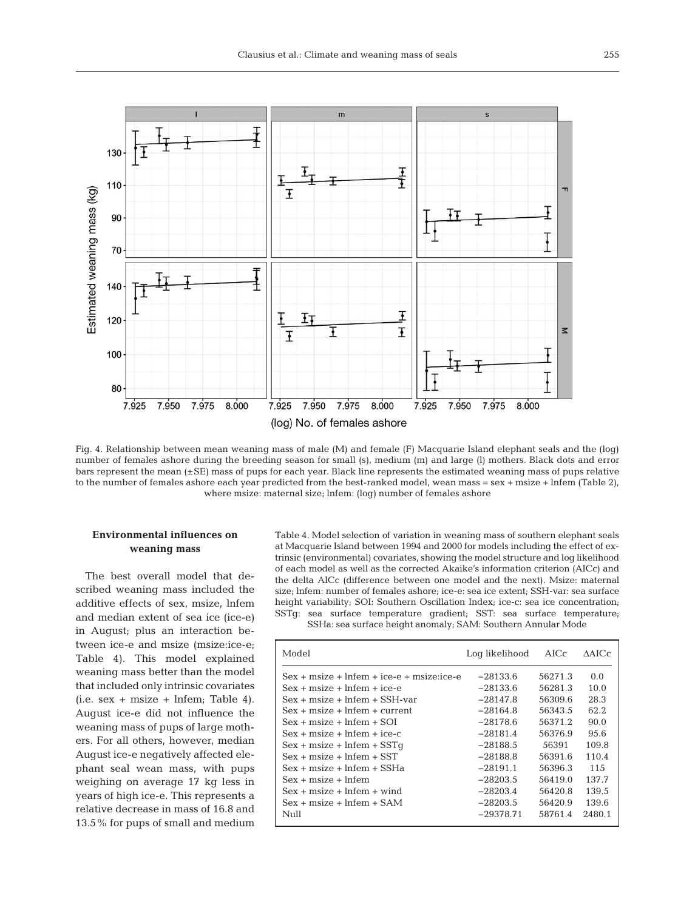

Fig. 4. Relationship between mean weaning mass of male (M) and female (F) Macquarie Island elephant seals and the (log) number of females ashore during the breeding season for small (s), medium (m) and large (l) mothers. Black dots and error bars represent the mean (±SE) mass of pups for each year. Black line represents the estimated weaning mass of pups relative to the number of females ashore each year predicted from the best-ranked model, wean mass = sex + msize + lnfem (Table 2), where msize: maternal size; lnfem: (log) number of females ashore

# **Environmental influences on weaning mass**

The best overall model that described weaning mass included the additive effects of sex, msize, lnfem and median extent of sea ice (ice-e) in August; plus an interaction between ice-e and msize (msize:ice-e; Table 4). This model explained weaning mass better than the model that included only intrinsic covariates  $(i.e. sex + msize + Infem; Table 4).$ August ice-e did not influence the weaning mass of pups of large mothers. For all others, however, median August ice-e negatively affected elephant seal wean mass, with pups weighing on average 17 kg less in years of high ice-e. This represents a relative decrease in mass of 16.8 and 13.5% for pups of small and medium Table 4. Model selection of variation in weaning mass of southern elephant seals at Macquarie Island between 1994 and 2000 for models including the effect of extrinsic (environmental) covariates, showing the model structure and log likelihood of each model as well as the corrected Akaike's information criterion (AICc) and the delta AICc (difference between one model and the next). Msize: maternal size; lnfem: number of females ashore; ice-e: sea ice extent; SSH-var: sea surface height variability; SOI: Southern Oscillation Index; ice-c: sea ice concentration; SSTg: sea surface temperature gradient; SST: sea surface temperature; SSHa: sea surface height anomaly; SAM: Southern Annular Mode

| Model                                       | Log likelihood | AICc.   | AAICc  |
|---------------------------------------------|----------------|---------|--------|
| $Sex + msize + lnfem + ice-e + msize:ice-e$ | $-28133.6$     | 56271.3 | 0.0    |
| Sex + msize + lnfem + ice-e                 | $-28133.6$     | 56281.3 | 10.0   |
| $Sex + msize + Infem + SSH-var$             | $-28147.8$     | 56309.6 | 28.3   |
| $Sex + msize + Infem + current$             | $-28164.8$     | 56343.5 | 62.2   |
| Sex + msize + lnfem + SOI                   | $-28178.6$     | 56371.2 | 90.0   |
| $Sex + msize + Infem + ice-c$               | $-28181.4$     | 56376.9 | 95.6   |
| $Sex + msize + Infem + SSTq$                | $-28188.5$     | 56391   | 109.8  |
| Sex + msize + lnfem + SST                   | $-28188.8$     | 56391.6 | 110.4  |
| Sex + msize + lnfem + SSHa                  | $-28191.1$     | 56396.3 | 11.5   |
| Sex + msize + lnfem                         | $-28203.5$     | 56419.0 | 137.7  |
| Sex + msize + lnfem + wind                  | $-28203.4$     | 56420.8 | 139.5  |
| $Sex + msize + Infem + SAM$                 | $-28203.5$     | 56420.9 | 139.6  |
| Null                                        | $-29378.71$    | 58761.4 | 2480.1 |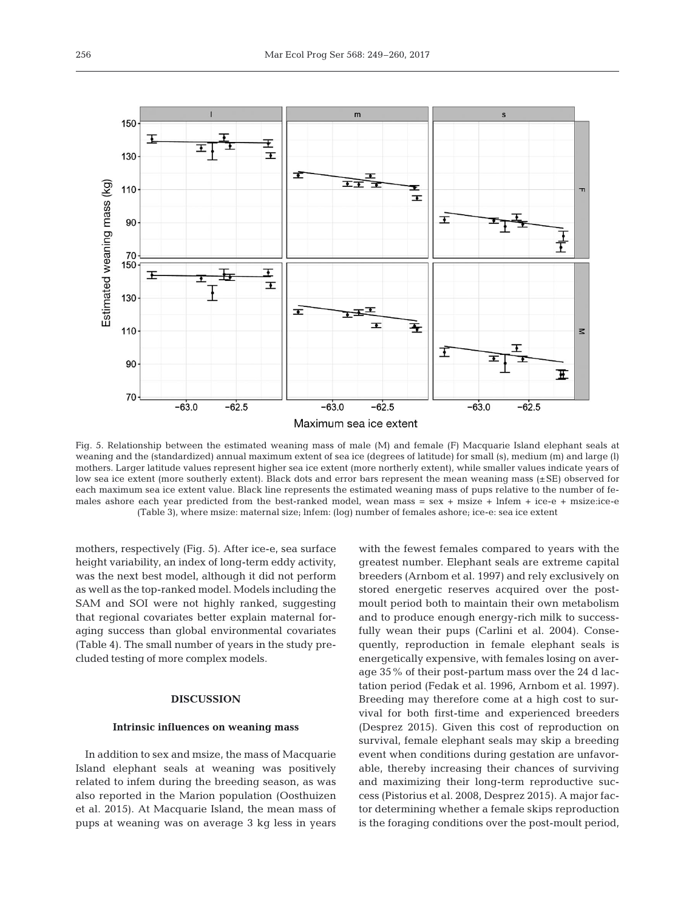

Fig. 5. Relationship between the estimated weaning mass of male (M) and female (F) Macquarie Island elephant seals at weaning and the (standardized) annual maximum extent of sea ice (degrees of latitude) for small (s), medium (m) and large (l) mothers. Larger latitude values represent higher sea ice extent (more northerly extent), while smaller values indicate years of low sea ice extent (more southerly extent). Black dots and error bars represent the mean weaning mass (±SE) observed for each maximum sea ice extent value. Black line represents the estimated weaning mass of pups relative to the number of females ashore each year predicted from the best-ranked model, wean mass =  $sex + misize + lnfem + ice-e + misize:ice-e$ (Table 3), where msize: maternal size; lnfem: (log) number of females ashore; ice-e: sea ice extent

mothers, respectively (Fig. 5). After ice-e, sea surface height variability, an index of long-term eddy activity, was the next best model, although it did not perform as well as the top-ranked model. Models including the SAM and SOI were not highly ranked, suggesting that regional covariates better explain maternal foraging success than global environmental covariates (Table 4). The small number of years in the study precluded testing of more complex models.

# **DISCUSSION**

## **Intrinsic influences on weaning mass**

In addition to sex and msize, the mass of Macquarie Island elephant seals at weaning was positively related to infem during the breeding season, as was also reported in the Marion population (Oosthuizen et al. 2015). At Macquarie Island, the mean mass of pups at weaning was on average 3 kg less in years with the fewest females compared to years with the greatest number. Elephant seals are extreme capital breeders (Arnbom et al. 1997) and rely exclusively on stored energetic reserves acquired over the postmoult period both to maintain their own metabolism and to produce enough energy-rich milk to successfully wean their pups (Carlini et al. 2004). Consequently, reproduction in female elephant seals is energetically expensive, with females losing on average 35% of their post-partum mass over the 24 d lactation period (Fedak et al. 1996, Arnbom et al. 1997). Breeding may therefore come at a high cost to survival for both first-time and experienced breeders (Desprez 2015). Given this cost of reproduction on survival, female elephant seals may skip a breeding event when conditions during gestation are unfavorable, thereby increasing their chances of surviving and maximizing their long-term reproductive success (Pistorius et al. 2008, Desprez 2015). A major factor determining whether a female skips reproduction is the foraging conditions over the post-moult period,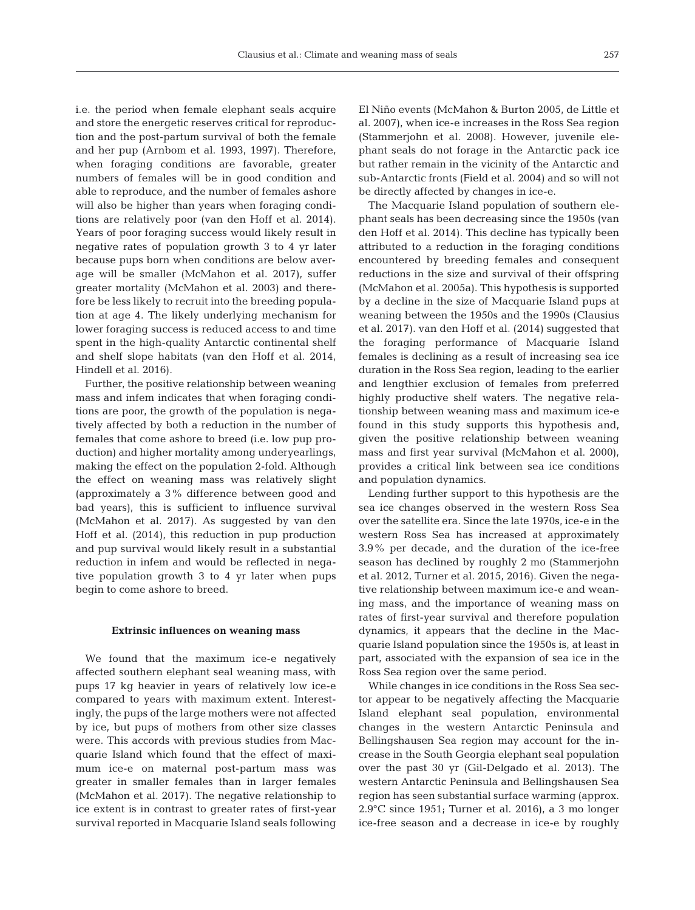i.e. the period when female elephant seals acquire and store the energetic reserves critical for reproduction and the post-partum survival of both the female and her pup (Arnbom et al. 1993, 1997). Therefore, when foraging conditions are favorable, greater numbers of females will be in good condition and able to reproduce, and the number of females ashore will also be higher than years when foraging conditions are relatively poor (van den Hoff et al. 2014). Years of poor foraging success would likely result in negative rates of population growth 3 to 4 yr later because pups born when conditions are below average will be smaller (McMahon et al. 2017), suffer greater mortality (McMahon et al. 2003) and therefore be less likely to recruit into the breeding population at age 4. The likely underlying mechanism for lower foraging success is reduced access to and time spent in the high-quality Antarctic continental shelf and shelf slope habitats (van den Hoff et al. 2014, Hindell et al. 2016).

Further, the positive relationship between weaning mass and infem indicates that when foraging conditions are poor, the growth of the population is negatively affected by both a reduction in the number of females that come ashore to breed (i.e. low pup production) and higher mortality among underyearlings, making the effect on the population 2-fold. Although the effect on weaning mass was relatively slight (approximately a 3% difference between good and bad years), this is sufficient to influence survival (McMahon et al. 2017). As suggested by van den Hoff et al. (2014), this reduction in pup production and pup survival would likely result in a substantial reduction in infem and would be reflected in negative population growth 3 to 4 yr later when pups begin to come ashore to breed.

#### **Extrinsic influences on weaning mass**

We found that the maximum ice-e negatively affected southern elephant seal weaning mass, with pups 17 kg heavier in years of relatively low ice-e compared to years with maximum extent. Interestingly, the pups of the large mothers were not affected by ice, but pups of mothers from other size classes were. This accords with previous studies from Macquarie Island which found that the effect of maximum ice-e on maternal post-partum mass was greater in smaller females than in larger females (McMahon et al. 2017). The negative relationship to ice extent is in contrast to greater rates of first-year survival reported in Macquarie Island seals following

El Niño events (McMahon & Burton 2005, de Little et al. 2007), when ice-e increases in the Ross Sea region (Stammerjohn et al. 2008). However, juvenile elephant seals do not forage in the Antarctic pack ice but rather remain in the vicinity of the Antarctic and sub-Antarctic fronts (Field et al. 2004) and so will not be directly affected by changes in ice-e.

The Macquarie Island population of southern elephant seals has been decreasing since the 1950s (van den Hoff et al. 2014). This decline has typically been attributed to a reduction in the foraging conditions encountered by breeding females and consequent reductions in the size and survival of their offspring (McMahon et al. 2005a). This hypothesis is supported by a decline in the size of Macquarie Island pups at weaning between the 1950s and the 1990s (Clausius et al. 2017). van den Hoff et al. (2014) suggested that the foraging performance of Macquarie Island females is declining as a result of increasing sea ice duration in the Ross Sea region, leading to the earlier and lengthier exclusion of females from preferred highly productive shelf waters. The negative relationship between weaning mass and maximum ice-e found in this study supports this hypothesis and, given the positive relationship between weaning mass and first year survival (McMahon et al. 2000), provides a critical link between sea ice conditions and population dynamics.

Lending further support to this hypothesis are the sea ice changes observed in the western Ross Sea over the satellite era. Since the late 1970s, ice-e in the western Ross Sea has increased at approximately 3.9% per decade, and the duration of the ice-free season has declined by roughly 2 mo (Stammerjohn et al. 2012, Turner et al. 2015, 2016). Given the negative relationship between maximum ice-e and weaning mass, and the importance of weaning mass on rates of first-year survival and therefore population dynamics, it appears that the decline in the Macquarie Island population since the 1950s is, at least in part, associated with the expansion of sea ice in the Ross Sea region over the same period.

While changes in ice conditions in the Ross Sea sector appear to be negatively affecting the Macquarie Island elephant seal population, environmental changes in the western Antarctic Peninsula and Bellingshausen Sea region may account for the increase in the South Georgia elephant seal population over the past 30 yr (Gil-Delgado et al. 2013). The western Antarctic Peninsula and Bellingshausen Sea region has seen substantial surface warming (approx. 2.9°C since 1951; Turner et al. 2016), a 3 mo longer ice-free season and a decrease in ice-e by roughly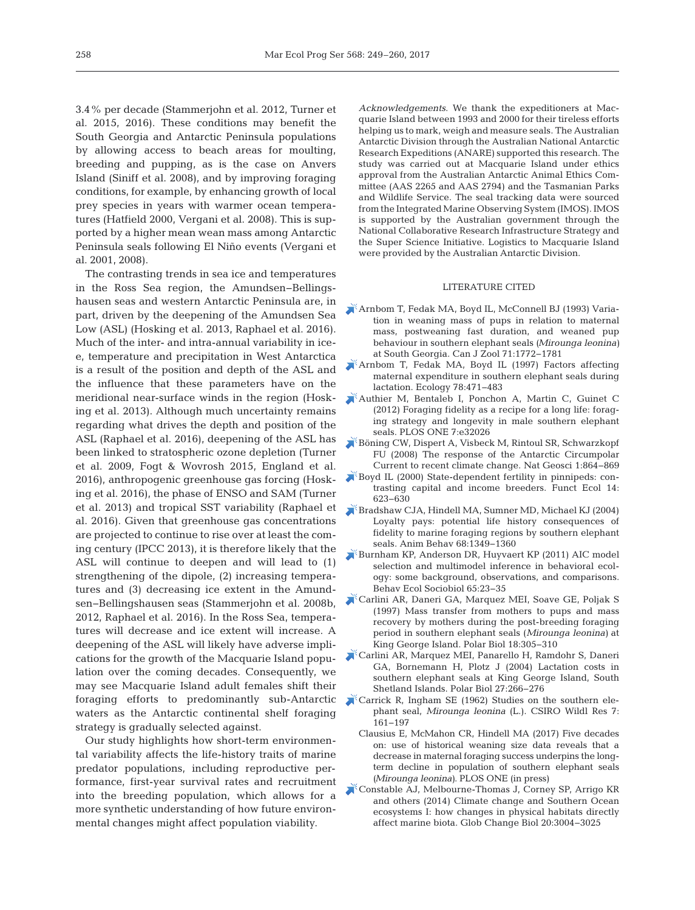3.4% per decade (Stammerjohn et al. 2012, Turner et al. 2015, 2016). These conditions may benefit the South Georgia and Antarctic Peninsula populations by allowing access to beach areas for moulting, breeding and pupping, as is the case on Anvers Island (Siniff et al. 2008), and by improving foraging conditions, for example, by enhancing growth of local prey species in years with warmer ocean temperatures (Hatfield 2000, Vergani et al. 2008). This is supported by a higher mean wean mass among Antarctic Peninsula seals following El Niño events (Vergani et al. 2001, 2008).

The contrasting trends in sea ice and temperatures in the Ross Sea region, the Amundsen−Bellings hausen seas and western Antarctic Peninsula are, in part, driven by the deepening of the Amundsen Sea Low (ASL) (Hosking et al. 2013, Raphael et al. 2016). Much of the inter- and intra-annual variability in icee, temperature and precipitation in West Antarctica is a result of the position and depth of the ASL and the influence that these parameters have on the meridional near-surface winds in the region (Hosking et al. 2013). Although much uncertainty remains regarding what drives the depth and position of the ASL (Raphael et al. 2016), deepening of the ASL has been linked to stratospheric ozone depletion (Turner et al. 2009, Fogt & Wovrosh 2015, England et al. 2016), anthropogenic greenhouse gas forcing (Hosking et al. 2016), the phase of ENSO and SAM (Turner et al. 2013) and tropical SST variability (Raphael et al. 2016). Given that greenhouse gas concentrations are projected to continue to rise over at least the coming century (IPCC 2013), it is therefore likely that the ASL will continue to deepen and will lead to (1) strengthening of the dipole, (2) increasing temperatures and (3) decreasing ice extent in the Amundsen−Bellingshausen seas (Stammerjohn et al. 2008b, 2012, Raphael et al. 2016). In the Ross Sea, temperatures will decrease and ice extent will increase. A deepening of the ASL will likely have adverse implications for the growth of the Macquarie Island population over the coming decades. Consequently, we may see Macquarie Island adult females shift their foraging efforts to predominantly sub-Antarctic waters as the Antarctic continental shelf foraging strategy is gradually selected against.

Our study highlights how short-term environmental variability affects the life-history traits of marine predator populations, including reproductive performance, first-year survival rates and recruitment into the breeding population, which allows for a more synthetic understanding of how future environmental changes might affect population viability.

*Acknowledgements*. We thank the expeditioners at Macquarie Island between 1993 and 2000 for their tireless efforts helping us to mark, weigh and measure seals. The Australian Antarctic Division through the Australian National Antarctic Research Expeditions (ANARE) supported this research. The study was carried out at Macquarie Island under ethics approval from the Australian Antarctic Animal Ethics Committee (AAS 2265 and AAS 2794) and the Tasmanian Parks and Wildlife Service. The seal tracking data were sourced from the Integrated Marine Observing System (IMOS). IMOS is supported by the Australian government through the National Collaborative Research Infrastructure Strategy and the Super Science Initiative. Logistics to Macquarie Island were provided by the Australian Antarctic Division.

## LITERATURE CITED

- [Arnbom T, Fedak MA, Boyd IL, McConnell BJ \(1993\) Varia](https://doi.org/10.1139/z93-252)tion in weaning mass of pups in relation to maternal mass, postweaning fast duration, and weaned pup behaviour in southern elephant seals *(Mirounga leonina)* at South Georgia. Can J Zool 71: 1772−1781
- [Arnbom T, Fedak MA, Boyd IL \(1997\) Factors affecting](https://doi.org/10.1890/0012-9658(1997)078%5b0471%3AFAMEIS%5d2.0.CO%3B2) maternal expenditure in southern elephant seals during lactation. Ecology 78:471-483
- [Authier M, Bentaleb I, Ponchon A, Martin C, Guinet C](https://www.ncbi.nlm.nih.gov/entrez/query.fcgi?cmd=Retrieve&db=PubMed&list_uids=22505993&dopt=Abstract) (2012) Foraging fidelity as a recipe for a long life: foraging strategy and longevity in male southern elephant seals. PLOS ONE 7:e32026
- [Böning CW, Dispert A, Visbeck M, Rintoul SR, Schwarzkopf](https://doi.org/10.1038/ngeo362) FU (2008) The response of the Antarctic Circumpolar Current to recent climate change. Nat Geosci 1: 864−869
- [Boyd IL \(2000\) State-dependent fertility in pinnipeds: con](https://doi.org/10.1046/j.1365-2435.2000.t01-1-00463.x)trasting capital and income breeders. Funct Ecol 14: 623−630
- [Bradshaw CJA, Hindell MA, Sumner MD, Michael KJ \(2004\)](https://doi.org/10.1016/j.anbehav.2003.12.013) Loyalty pays: potential life history consequences of fidelity to marine foraging regions by southern elephant seals. Anim Behav 68:1349-1360
- [Burnham KP, Anderson DR, Huyvaert KP \(2011\) AIC model](https://doi.org/10.1007/s00265-010-1029-6) selection and multimodel inference in behavioral ecology: some background, observations, and comparisons. Behav Ecol Sociobiol 65:23-35
- [Carlini AR, Daneri GA, Marquez MEI, Soave GE, Poljak S](https://doi.org/10.1007/s003000050192) (1997) Mass transfer from mothers to pups and mass recovery by mothers during the post-breeding foraging period in southern elephant seals (*Mirounga leonina)* at King George Island. Polar Biol 18: 305−310
- [Carlini AR, Marquez MEI, Panarello H, Ramdohr S, Daneri](https://doi.org/10.1007/s00300-003-0584-y) GA, Bornemann H, Plotz J (2004) Lactation costs in southern elephant seals at King George Island, South Shetland Islands. Polar Biol 27: 266−276
- [Carrick R, Ingham SE \(1962\) Studies on the southern ele](https://doi.org/10.1071/CWR9620161)phant seal, *Mirounga leonina* (L.). CSIRO Wildl Res 7: 161−197
	- Clausius E, McMahon CR, Hindell MA (2017) Five decades on: use of historical weaning size data reveals that a decrease in maternal foraging success underpins the longterm decline in population of southern elephant seals *(Mirounga leonina)*. PLOS ONE (in press)
- [Constable AJ, Melbourne-Thomas J, Corney SP, Arrigo KR](https://www.ncbi.nlm.nih.gov/entrez/query.fcgi?cmd=Retrieve&db=PubMed&list_uids=24802817&dopt=Abstract) and others (2014) Climate change and Southern Ocean ecosystems I: how changes in physical habitats directly affect marine biota. Glob Change Biol 20: 3004−3025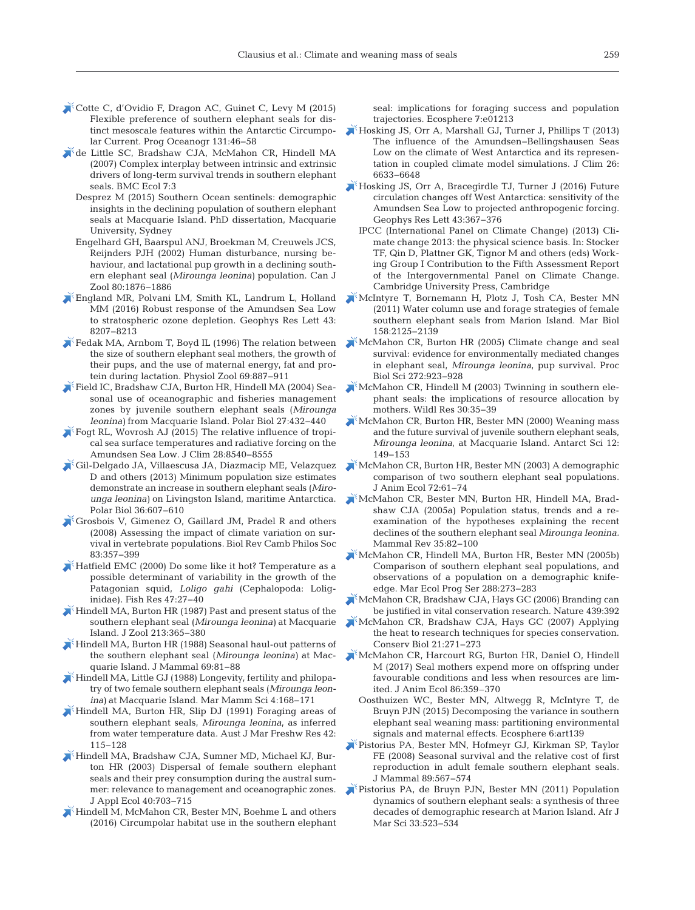- [Cotte C, d'Ovidio F, Dragon AC, Guinet C, Levy M \(2015\)](https://doi.org/10.1016/j.pocean.2014.11.011) Flexible preference of southern elephant seals for distinct mesoscale features within the Antarctic Circumpolar Current. Prog Oceanogr 131:46-58
- [de Little SC, Bradshaw CJA, McMahon CR, Hindell MA](https://www.ncbi.nlm.nih.gov/entrez/query.fcgi?cmd=Retrieve&db=PubMed&list_uids=17389038&dopt=Abstract) (2007) Complex interplay between intrinsic and extrinsic drivers of long-term survival trends in southern elephant seals. BMC Ecol 7:3
	- Desprez M (2015) Southern Ocean sentinels: demographic insights in the declining population of southern elephant seals at Macquarie Island. PhD dissertation, Macquarie University, Sydney
	- Engelhard GH, Baarspul ANJ, Broekman M, Creuwels JCS, Reijnders PJH (2002) Human disturbance, nursing be haviour, and lactational pup growth in a declining southern elephant seal (*Mirounga leonina)* population. Can J Zool 80: 1876−1886
- [England MR, Polvani LM, Smith KL, Landrum L, Holland](https://doi.org/10.1002/2016GL070055) MM (2016) Robust response of the Amundsen Sea Low to stratospheric ozone depletion. Geophys Res Lett 43: 8207−8213
- [Fedak MA, Arnbom T, Boyd IL \(1996\) The relation between](https://doi.org/10.1086/physzool.69.4.30164234) the size of southern elephant seal mothers, the growth of their pups, and the use of maternal energy, fat and protein during lactation. Physiol Zool 69:887-911
- [Field IC, Bradshaw CJA, Burton HR, Hindell MA \(2004\) Sea](https://doi.org/10.1007/s00300-004-0615-3)sonal use of oceanographic and fisheries management zones by juvenile southern elephant seals (*Mirounga leonina*) from Macquarie Island. Polar Biol 27:432-440
- [Fogt RL, Wovrosh AJ \(2015\) The relative influence of tropi](https://doi.org/10.1175/JCLI-D-15-0091.1)cal sea surface temperatures and radiative forcing on the Amundsen Sea Low. J Clim 28: 8540−8555
- [Gil-Delgado JA, Villaescusa JA, Diazmacip ME, Velazquez](https://doi.org/10.1007/s00300-012-1280-6) D and others (2013) Minimum population size estimates demonstrate an increase in southern elephant seals (*Miro unga leonina)* on Livingston Island, maritime Antarctica. Polar Biol 36:607-610
- [Grosbois V, Gimenez O, Gaillard JM, Pradel R and others](https://www.ncbi.nlm.nih.gov/entrez/query.fcgi?cmd=Retrieve&db=PubMed&list_uids=18715402&dopt=Abstract) (2008) Assessing the impact of climate variation on survival in vertebrate populations. Biol Rev Camb Philos Soc 83: 357−399
- [Hatfield EMC \(2000\) Do some like it hot? Temperature as a](https://doi.org/10.1016/S0165-7836(99)00127-7) possible determinant of variability in the growth of the Patagonian squid, *Loligo gahi* (Cephalopoda: Loliginidae). Fish Res 47: 27−40
- [Hindell MA, Burton HR \(1987\) Past and present status of the](https://doi.org/10.1111/j.1469-7998.1987.tb03712.x) southern elephant seal (*Mirounga leonina)* at Macquarie Island. J Zool 213: 365−380
- [Hindell MA, Burton HR \(1988\) Seasonal haul-out patterns of](https://doi.org/10.2307/1381750) the southern elephant seal (*Mirounga leonina)* at Macquarie Island. J Mammal 69:81-88
- $\blacktriangleright$  [Hindell MA, Little GJ \(1988\) Longevity, fertility and philopa](https://doi.org/10.1111/j.1748-7692.1988.tb00197.x)try of two female southern elephant seals (*Mirounga leonina)* at Macquarie Island. Mar Mamm Sci 4: 168−171
- [Hindell MA, Burton HR, Slip DJ \(1991\) Foraging areas of](https://doi.org/10.1071/MF9910115) southern elephant seals, *Mirounga leonina*, as inferred from water temperature data. Aust J Mar Freshw Res 42: 115−128
- [Hindell MA, Bradshaw CJA, Sumner MD, Michael KJ, Bur](https://doi.org/10.1046/j.1365-2664.2003.00832.x)ton HR (2003) Dispersal of female southern elephant seals and their prey consumption during the austral summer: relevance to management and oceanographic zones. J Appl Ecol 40: 703−715
- [Hindell M, McMahon CR, Bester MN, Boehme L and others](https://doi.org/10.1002/ecs2.1213) (2016) Circumpolar habitat use in the southern elephant

seal: implications for foraging success and population trajectories. Ecosphere 7:e01213

- [Hosking JS, Orr A, Marshall GJ, Turner J, Phillips T \(2013\)](https://doi.org/10.1175/JCLI-D-12-00813.1) The influence of the Amundsen−Bellingshausen Seas Low on the climate of West Antarctica and its representation in coupled climate model simulations. J Clim 26: 6633−6648
- [Hosking JS, Orr A, Bracegirdle TJ, Turner J \(2016\) Future](https://doi.org/10.1002/2015GL067143) circulation changes off West Antarctica: sensitivity of the Amundsen Sea Low to projected anthropogenic forcing. Geophys Res Lett 43:367-376
	- IPCC (International Panel on Climate Change) (2013) Climate change 2013: the physical science basis. In: Stocker TF, Qin D, Plattner GK, Tignor M and others (eds) Working Group I Contribution to the Fifth Assessment Report of the Intergovernmental Panel on Climate Change. Cambridge University Press, Cambridge
- [McIntyre T, Bornemann H, Plotz J, Tosh CA, Bester MN](https://doi.org/10.1007/s00227-011-1719-2) (2011) Water column use and forage strategies of female southern elephant seals from Marion Island. Mar Biol 158: 2125−2139
- [McMahon CR, Burton HR \(2005\) Climate change and seal](https://www.ncbi.nlm.nih.gov/entrez/query.fcgi?cmd=Retrieve&db=PubMed&list_uids=16024347&dopt=Abstract) survival: evidence for environmentally mediated changes in elephant seal, *Mirounga leonina*, pup survival. Proc Biol Sci 272: 923−928
- [McMahon CR, Hindell M \(2003\) Twinning in southern ele](https://doi.org/10.1071/WR01069)phant seals: the implications of resource allocation by mothers. Wildl Res 30:35-39
- [McMahon CR, Burton HR, Bester MN \(2000\) Weaning mass](https://doi.org/10.1017/S0954102000000195) and the future survival of juvenile southern elephant seals, *Mirounga leonina*, at Macquarie Island. Antarct Sci 12: 149−153
- [McMahon CR, Burton HR, Bester MN \(2003\) A demographic](https://doi.org/10.1046/j.1365-2656.2003.00685.x) comparison of two southern elephant seal populations. J Anim Ecol 72: 61−74
- [McMahon CR, Bester MN, Burton HR, Hindell MA, Brad](https://doi.org/10.1111/j.1365-2907.2005.00055.x)shaw CJA (2005a) Population status, trends and a reexamination of the hypotheses explaining the recent declines of the southern elephant seal *Mirounga leonina.* Mammal Rev 35:82-100
- [McMahon CR, Hindell MA, Burton HR, Bester MN \(2005b\)](https://doi.org/10.3354/meps288273) Comparison of southern elephant seal populations, and observations of a population on a demographic knifeedge. Mar Ecol Prog Ser 288:273-283
- [McMahon CR, Bradshaw CJA, Hays GC \(2006\) Branding can](https://www.ncbi.nlm.nih.gov/entrez/query.fcgi?cmd=Retrieve&db=PubMed&list_uids=16437087&dopt=Abstract) be justified in vital conservation research. Nature  $439:392$
- [McMahon CR, Bradshaw CJA, Hays GC \(2007\) Applying](https://www.ncbi.nlm.nih.gov/entrez/query.fcgi?cmd=Retrieve&db=PubMed&list_uids=17298535&dopt=Abstract) the heat to research techniques for species conservation. Conserv Biol 21:271-273
- [McMahon CR, Harcourt RG, Burton HR, Daniel O, Hindell](https://www.ncbi.nlm.nih.gov/entrez/query.fcgi?cmd=Retrieve&db=PubMed&list_uids=27859273&dopt=Abstract) M (2017) Seal mothers expend more on offspring under favourable conditions and less when resources are limited. J Anim Ecol 86:359-370
	- Oosthuizen WC, Bester MN, Altwegg R, McIntyre T, de Bruyn PJN (2015) Decomposing the variance in southern elephant seal weaning mass: partitioning environmental signals and maternal effects. Ecosphere 6: art139
- [Pistorius PA, Bester MN, Hofmeyr GJ, Kirkman SP, Taylor](https://doi.org/10.1644/07-MAMM-A-219R.1) FE (2008) Seasonal survival and the relative cost of first reproduction in adult female southern elephant seals. J Mammal 89:567-574
- [Pistorius PA, de Bruyn PJN, Bester MN \(2011\) Population](https://doi.org/10.2989/1814232X.2011.637357) dynamics of southern elephant seals:a synthesis of three decades of demographic research at Marion Island. Afr J Mar Sci 33:523-534